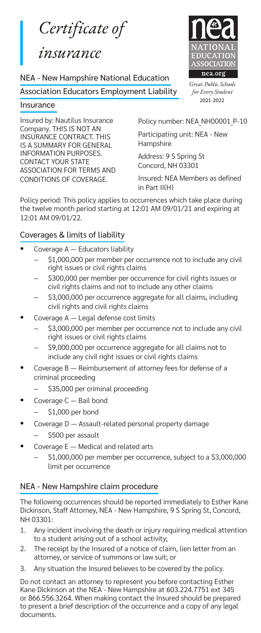*Certificate of* 

# *insurance*

#### NEA - New Hampshire National Education

Association Educators Employment Liability

#### Insurance

Insured by: Nautilus Insurance Company. THIS IS NOT AN INSURANCE CONTRACT. THIS IS A SUMMARY FOR GENERAL INFORMATION PURPOSES. CONTACT YOUR STATE ASSOCIATION FOR TERMS AND CONDITIONS OF COVERAGE.



*Great Public Schools for Every Student* 2021-2022

Policy number: NEA NH00001 P-10

Participating unit: NEA - New Hampshire

Address: 9 S Spring St Concord, NH 03301

Insured: NEA Members as defined in Part II(H)

Policy period: This policy applies to occurrences which take place during the twelve month period starting at 12:01 AM 09/01/21 and expiring at 12:01 AM 09/01/22.

### Coverages & limits of liability

- Coverage A Educators liability
	- − \$1,000,000 per member per occurrence not to include any civil right issues or civil rights claims
	- − \$300,000 per member per occurrence for civil rights issues or civil rights claims and not to include any other claims
	- \$3,000,000 per occurrence aggregate for all claims, including civil rights and civil rights claims
- Coverage A Legal defense cost limits
	- − \$3,000,000 per member per occurrence not to include any civil right issues or civil rights claims
	- − \$9,000,000 per occurrence aggregate for all claims not to include any civil right issues or civil rights claims
- Coverage B Reimbursement of attorney fees for defense of a criminal proceeding
	- − \$35,000 per criminal proceeding
- Coverage C Bail bond
	- − \$1,000 per bond
- Coverage D Assault-related personal property damage − \$500 per assault
- Coverage E Medical and related arts
	- − \$1,000,000 per member per occurrence, subject to a \$3,000,000 limit per occurrence

### NEA - New Hampshire claim procedure

The following occurrences should be reported immediately to Esther Kane Dickinson, Staff Attorney, NEA - New Hampshire, 9 S Spring St, Concord, NH 03301:

- 1. Any incident involving the death or injury requiring medical attention to a student arising out of a school activity;
- 2. The receipt by the Insured of a notice of claim, lien letter from an attorney, or service of summons or law suit; or
- 3. Any situation the Insured believes to be covered by the policy.

Do not contact an attorney to represent you before contacting Esther Kane Dickinson at the NEA - New Hampshire at 603.224.7751 ext 345 or 866.556.3264. When making contact the Insured should be prepared to present a brief description of the occurrence and a copy of any legal documents.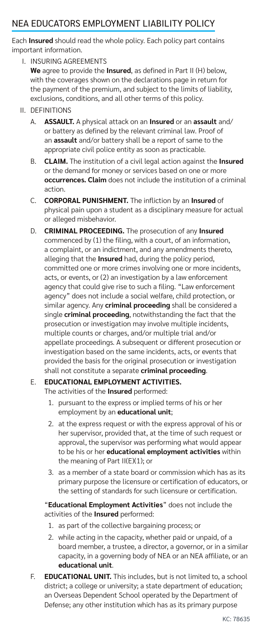## NEA EDUCATORS EMPLOYMENT LIABILITY POLICY

Each **Insured** should read the whole policy. Each policy part contains important information.

I. INSURING AGREEMENTS

**We** agree to provide the **Insured**, as defined in Part II (H) below, with the coverages shown on the declarations page in return for the payment of the premium, and subject to the limits of liability, exclusions, conditions, and all other terms of this policy.

- II. DEFINITIONS
	- A. **ASSAULT.** A physical attack on an **Insured** or an **assault** and/ or battery as defined by the relevant criminal law. Proof of an **assault** and/or battery shall be a report of same to the appropriate civil police entity as soon as practicable.
	- B. **CLAIM.** The institution of a civil legal action against the **Insured** or the demand for money or services based on one or more **occurrences. Claim** does not include the institution of a criminal action.
	- C. **CORPORAL PUNISHMENT.** The infliction by an **Insured** of physical pain upon a student as a disciplinary measure for actual or alleged misbehavior.
	- D. **CRIMINAL PROCEEDING.** The prosecution of any **Insured** commenced by (1) the filing, with a court, of an information, a complaint, or an indictment, and any amendments thereto, alleging that the **Insured** had, during the policy period, committed one or more crimes involving one or more incidents, acts, or events, or (2) an investigation by a law enforcement agency that could give rise to such a filing. "Law enforcement agency" does not include a social welfare, child protection, or similar agency. Any **criminal proceeding** shall be considered a single **criminal proceeding**, notwithstanding the fact that the prosecution or investigation may involve multiple incidents, multiple counts or charges, and/or multiple trial and/or appellate proceedings. A subsequent or different prosecution or investigation based on the same incidents, acts, or events that provided the basis for the original prosecution or investigation shall not constitute a separate **criminal proceeding**.

### E. **EDUCATIONAL EMPLOYMENT ACTIVITIES.**

The activities of the **Insured** performed:

- 1. pursuant to the express or implied terms of his or her employment by an **educational unit**;
- 2. at the express request or with the express approval of his or her supervisor, provided that, at the time of such request or approval, the supervisor was performing what would appear to be his or her **educational employment activities** within the meaning of Part II(E)(1); or
- 3. as a member of a state board or commission which has as its primary purpose the licensure or certification of educators, or the setting of standards for such licensure or certification.

"**Educational Employment Activities**" does not include the activities of the **Insured** performed:

- 1. as part of the collective bargaining process; or
- 2. while acting in the capacity, whether paid or unpaid, of a board member, a trustee, a director, a governor, or in a similar capacity, in a governing body of NEA or an NEA affiliate, or an **educational unit**.
- F. **EDUCATIONAL UNIT.** This includes, but is not limited to, a school district; a college or university; a state department of education; an Overseas Dependent School operated by the Department of Defense; any other institution which has as its primary purpose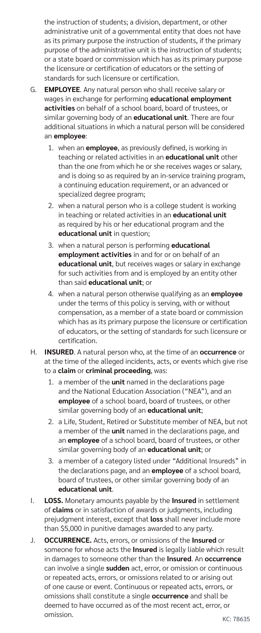the instruction of students; a division, department, or other administrative unit of a governmental entity that does not have as its primary purpose the instruction of students, if the primary purpose of the administrative unit is the instruction of students; or a state board or commission which has as its primary purpose the licensure or certification of educators or the setting of standards for such licensure or certification.

- G. **EMPLOYEE**. Any natural person who shall receive salary or wages in exchange for performing **educational employment activities** on behalf of a school board, board of trustees, or similar governing body of an **educational unit**. There are four additional situations in which a natural person will be considered an **employee**:
	- 1. when an **employee**, as previously defined, is working in teaching or related activities in an **educational unit** other than the one from which he or she receives wages or salary, and is doing so as required by an in-service training program, a continuing education requirement, or an advanced or specialized degree program;
	- 2. when a natural person who is a college student is working in teaching or related activities in an **educational unit** as required by his or her educational program and the **educational unit** in question;
	- 3. when a natural person is performing **educational employment activities** in and for or on behalf of an **educational unit**, but receives wages or salary in exchange for such activities from and is employed by an entity other than said **educational unit**; or
	- 4. when a natural person otherwise qualifying as an **employee** under the terms of this policy is serving, with or without compensation, as a member of a state board or commission which has as its primary purpose the licensure or certification of educators, or the setting of standards for such licensure or certification.
- H. **INSURED**. A natural person who, at the time of an **occurrence** or at the time of the alleged incidents, acts, or events which give rise to a **claim** or **criminal proceeding**, was:
	- 1. a member of the **unit** named in the declarations page and the National Education Association ("NEA"), and an **employee** of a school board, board of trustees, or other similar governing body of an **educational unit**;
	- 2. a Life, Student, Retired or Substitute member of NEA, but not a member of the **unit** named in the declarations page, and an **employee** of a school board, board of trustees, or other similar governing body of an **educational unit**; or
	- 3. a member of a category listed under "Additional Insureds" in the declarations page, and an **employee** of a school board, board of trustees, or other similar governing body of an **educational unit**.
- I. **LOSS.** Monetary amounts payable by the **Insured** in settlement of **claims** or in satisfaction of awards or judgments, including prejudgment interest, except that **loss** shall never include more than \$5,000 in punitive damages awarded to any party.
- J. **OCCURRENCE.** Acts, errors, or omissions of the **Insured** or someone for whose acts the **Insured** is legally liable which result in damages to someone other than the **Insured**. An **occurrence** can involve a single **sudden** act, error, or omission or continuous or repeated acts, errors, or omissions related to or arising out of one cause or event. Continuous or repeated acts, errors, or omissions shall constitute a single **occurrence** and shall be deemed to have occurred as of the most recent act, error, or omission.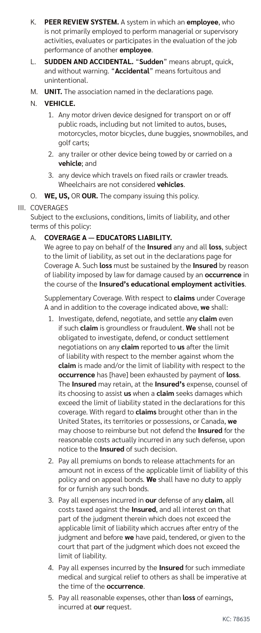- K. **PEER REVIEW SYSTEM.** A system in which an **employee**, who is not primarily employed to perform managerial or supervisory activities, evaluates or participates in the evaluation of the job performance of another **employee**.
- L. **SUDDEN AND ACCIDENTAL.** "**Sudden**" means abrupt, quick, and without warning. "**Accidental**" means fortuitous and unintentional.
- M. **UNIT.** The association named in the declarations page.

### N. **VEHICLE.**

- 1. Any motor driven device designed for transport on or off public roads, including but not limited to autos, buses, motorcycles, motor bicycles, dune buggies, snowmobiles, and golf carts;
- 2. any trailer or other device being towed by or carried on a **vehicle**; and
- 3. any device which travels on fixed rails or crawler treads. Wheelchairs are not considered **vehicles**.
- O. **WE, US,** OR **OUR.** The company issuing this policy.

### III. COVERAGES

Subject to the exclusions, conditions, limits of liability, and other terms of this policy:

### A. **COVERAGE A — EDUCATORS LIABILITY.**

We agree to pay on behalf of the **Insured** any and all **loss**, subject to the limit of liability, as set out in the declarations page for Coverage A. Such **loss** must be sustained by the **Insured** by reason of liability imposed by law for damage caused by an **occurrence** in the course of the **Insured's educational employment activities**.

Supplementary Coverage. With respect to **claims** under Coverage A and in addition to the coverage indicated above, **we** shall:

- 1. Investigate, defend, negotiate, and settle any **claim** even if such **claim** is groundless or fraudulent. **We** shall not be obligated to investigate, defend, or conduct settlement negotiations on any **claim** reported to **us** after the limit of liability with respect to the member against whom the **claim** is made and/or the limit of liability with respect to the **occurrence** has [have] been exhausted by payment of **loss**. The **Insured** may retain, at the **Insured's** expense, counsel of its choosing to assist **us** when a **claim** seeks damages which exceed the limit of liability stated in the declarations for this coverage. With regard to **claims** brought other than in the United States, its territories or possessions, or Canada, **we** may choose to reimburse but not defend the **Insured** for the reasonable costs actually incurred in any such defense, upon notice to the **Insured** of such decision.
- 2. Pay all premiums on bonds to release attachments for an amount not in excess of the applicable limit of liability of this policy and on appeal bonds. **We** shall have no duty to apply for or furnish any such bonds.
- 3. Pay all expenses incurred in **our** defense of any **claim**, all costs taxed against the **Insured**, and all interest on that part of the judgment therein which does not exceed the applicable limit of liability which accrues after entry of the judgment and before **we** have paid, tendered, or given to the court that part of the judgment which does not exceed the limit of liability.
- 4. Pay all expenses incurred by the **Insured** for such immediate medical and surgical relief to others as shall be imperative at the time of the **occurrence**.
- 5. Pay all reasonable expenses, other than **loss** of earnings, incurred at **our** request.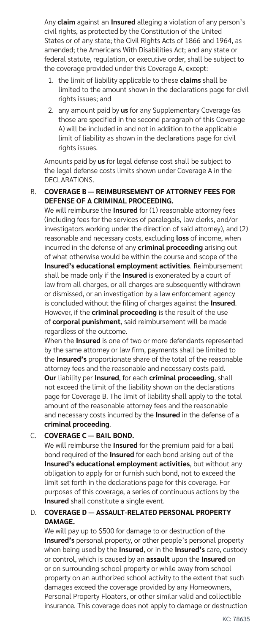Any **claim** against an **Insured** alleging a violation of any person's civil rights, as protected by the Constitution of the United States or of any state; the Civil Rights Acts of 1866 and 1964, as amended; the Americans With Disabilities Act; and any state or federal statute, regulation, or executive order, shall be subject to the coverage provided under this Coverage A, except:

- 1. the limit of liability applicable to these **claims** shall be limited to the amount shown in the declarations page for civil rights issues; and
- 2. any amount paid by **us** for any Supplementary Coverage (as those are specified in the second paragraph of this Coverage A) will be included in and not in addition to the applicable limit of liability as shown in the declarations page for civil rights issues.

Amounts paid by **us** for legal defense cost shall be subject to the legal defense costs limits shown under Coverage A in the DECLARATIONS.

#### B. **COVERAGE B — REIMBURSEMENT OF ATTORNEY FEES FOR DEFENSE OF A CRIMINAL PROCEEDING.**

We will reimburse the **Insured** for (1) reasonable attorney fees (including fees for the services of paralegals, law clerks, and/or investigators working under the direction of said attorney), and (2) reasonable and necessary costs, excluding **loss** of income, when incurred in the defense of any **criminal proceeding** arising out of what otherwise would be within the course and scope of the **Insured's educational employment activities**. Reimbursement shall be made only if the **Insured** is exonerated by a court of law from all charges, or all charges are subsequently withdrawn or dismissed, or an investigation by a law enforcement agency is concluded without the filing of charges against the **Insured**. However, if the **criminal proceeding** is the result of the use of **corporal punishment**, said reimbursement will be made regardless of the outcome.

When the **Insured** is one of two or more defendants represented by the same attorney or law firm, payments shall be limited to the **Insured's** proportionate share of the total of the reasonable attorney fees and the reasonable and necessary costs paid. **Our** liability per **Insured**, for each **criminal proceeding**, shall not exceed the limit of the liability shown on the declarations page for Coverage B. The limit of liability shall apply to the total amount of the reasonable attorney fees and the reasonable and necessary costs incurred by the **Insured** in the defense of a **criminal proceeding**.

### C. **COVERAGE C — BAIL BOND.**

We will reimburse the **Insured** for the premium paid for a bail bond required of the **Insured** for each bond arising out of the **Insured's educational employment activities**, but without any obligation to apply for or furnish such bond, not to exceed the limit set forth in the declarations page for this coverage. For purposes of this coverage, a series of continuous actions by the **Insured** shall constitute a single event.

#### D. **COVERAGE D — ASSAULT-RELATED PERSONAL PROPERTY DAMAGE.**

We will pay up to \$500 for damage to or destruction of the **Insured's** personal property, or other people's personal property when being used by the **Insured**, or in the **Insured's** care, custody or control, which is caused by an **assault** upon the **Insured** on or on surrounding school property or while away from school property on an authorized school activity to the extent that such damages exceed the coverage provided by any Homeowners, Personal Property Floaters, or other similar valid and collectible insurance. This coverage does not apply to damage or destruction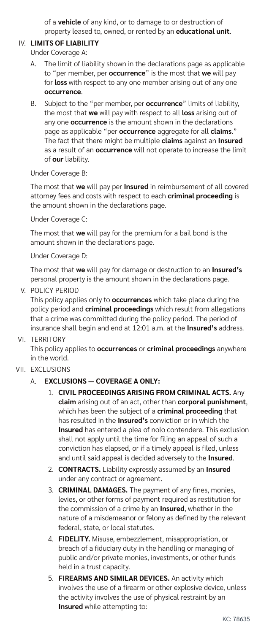of a **vehicle** of any kind, or to damage to or destruction of property leased to, owned, or rented by an **educational unit**.

#### IV. **LIMITS OF LIABILITY**

Under Coverage A:

- A. The limit of liability shown in the declarations page as applicable to "per member, per **occurrence**" is the most that **we** will pay for **loss** with respect to any one member arising out of any one **occurrence**.
- B. Subject to the "per member, per **occurrence**" limits of liability, the most that **we** will pay with respect to all **loss** arising out of any one **occurrence** is the amount shown in the declarations page as applicable "per **occurrence** aggregate for all **claims**." The fact that there might be multiple **claims** against an **Insured** as a result of an **occurrence** will not operate to increase the limit of **our** liability.

#### Under Coverage B:

The most that **we** will pay per **Insured** in reimbursement of all covered attorney fees and costs with respect to each **criminal proceeding** is the amount shown in the declarations page.

Under Coverage C:

The most that **we** will pay for the premium for a bail bond is the amount shown in the declarations page.

Under Coverage D:

The most that **we** will pay for damage or destruction to an **Insured's** personal property is the amount shown in the declarations page.

V. POLICY PERIOD

This policy applies only to **occurrences** which take place during the policy period and **criminal proceedings** which result from allegations that a crime was committed during the policy period. The period of insurance shall begin and end at 12:01 a.m. at the **Insured's** address.

VI. TERRITORY

This policy applies to **occurrences** or **criminal proceedings** anywhere in the world.

### VII. EXCLUSIONS

### A. **EXCLUSIONS — COVERAGE A ONLY:**

- 1. **CIVIL PROCEEDINGS ARISING FROM CRIMINAL ACTS.** Any **claim** arising out of an act, other than **corporal punishment**, which has been the subject of a **criminal proceeding** that has resulted in the **Insured's** conviction or in which the **Insured** has entered a plea of nolo contendere. This exclusion shall not apply until the time for filing an appeal of such a conviction has elapsed, or if a timely appeal is filed, unless and until said appeal is decided adversely to the **Insured**.
- 2. **CONTRACTS.** Liability expressly assumed by an **Insured** under any contract or agreement.
- 3. **CRIMINAL DAMAGES.** The payment of any fines, monies, levies, or other forms of payment required as restitution for the commission of a crime by an **Insured**, whether in the nature of a misdemeanor or felony as defined by the relevant federal, state, or local statutes.
- 4. **FIDELITY.** Misuse, embezzlement, misappropriation, or breach of a fiduciary duty in the handling or managing of public and/or private monies, investments, or other funds held in a trust capacity.
- 5. **FIREARMS AND SIMILAR DEVICES.** An activity which involves the use of a firearm or other explosive device, unless the activity involves the use of physical restraint by an **Insured** while attempting to: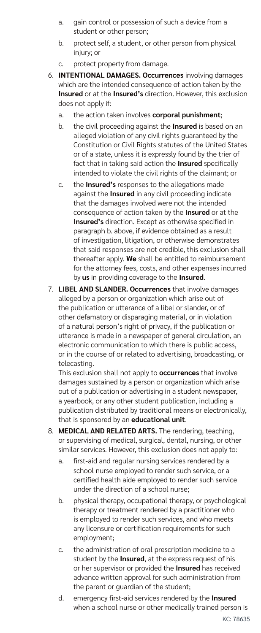- a. gain control or possession of such a device from a student or other person;
- b. protect self, a student, or other person from physical injury; or
- c. protect property from damage.
- 6. **INTENTIONAL DAMAGES. Occurrences** involving damages which are the intended consequence of action taken by the **Insured** or at the **Insured's** direction. However, this exclusion does not apply if:
	- a. the action taken involves **corporal punishment**;
	- b. the civil proceeding against the **Insured** is based on an alleged violation of any civil rights guaranteed by the Constitution or Civil Rights statutes of the United States or of a state, unless it is expressly found by the trier of fact that in taking said action the **Insured** specifically intended to violate the civil rights of the claimant; or
	- c. the **Insured's** responses to the allegations made against the **Insured** in any civil proceeding indicate that the damages involved were not the intended consequence of action taken by the **Insured** or at the **Insured's** direction. Except as otherwise specified in paragraph b. above, if evidence obtained as a result of investigation, litigation, or otherwise demonstrates that said responses are not credible, this exclusion shall thereafter apply. **We** shall be entitled to reimbursement for the attorney fees, costs, and other expenses incurred by **us** in providing coverage to the **Insured**.
- 7. **LIBEL AND SLANDER. Occurrences** that involve damages alleged by a person or organization which arise out of the publication or utterance of a libel or slander, or of other defamatory or disparaging material, or in violation of a natural person's right of privacy, if the publication or utterance is made in a newspaper of general circulation, an electronic communication to which there is public access, or in the course of or related to advertising, broadcasting, or telecasting.

This exclusion shall not apply to **occurrences** that involve damages sustained by a person or organization which arise out of a publication or advertising in a student newspaper, a yearbook, or any other student publication, including a publication distributed by traditional means or electronically, that is sponsored by an **educational unit**.

- 8. **MEDICAL AND RELATED ARTS.** The rendering, teaching, or supervising of medical, surgical, dental, nursing, or other similar services. However, this exclusion does not apply to:
	- a. first-aid and regular nursing services rendered by a school nurse employed to render such service, or a certified health aide employed to render such service under the direction of a school nurse;
	- b. physical therapy, occupational therapy, or psychological therapy or treatment rendered by a practitioner who is employed to render such services, and who meets any licensure or certification requirements for such employment;
	- c. the administration of oral prescription medicine to a student by the **Insured**, at the express request of his or her supervisor or provided the **Insured** has received advance written approval for such administration from the parent or guardian of the student;
	- d. emergency first-aid services rendered by the **Insured** when a school nurse or other medically trained person is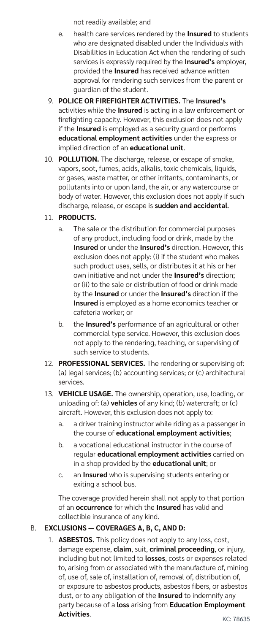not readily available; and

- e. health care services rendered by the **Insured** to students who are designated disabled under the Individuals with Disabilities in Education Act when the rendering of such services is expressly required by the **Insured's** employer, provided the **Insured** has received advance written approval for rendering such services from the parent or guardian of the student.
- 9. **POLICE OR FIREFIGHTER ACTIVITIES.** The **Insured's** activities while the **Insured** is acting in a law enforcement or firefighting capacity. However, this exclusion does not apply if the **Insured** is employed as a security guard or performs **educational employment activities** under the express or implied direction of an **educational unit**.
- 10. **POLLUTION.** The discharge, release, or escape of smoke, vapors, soot, fumes, acids, alkalis, toxic chemicals, liquids, or gases, waste matter, or other irritants, contaminants, or pollutants into or upon land, the air, or any watercourse or body of water. However, this exclusion does not apply if such discharge, release, or escape is **sudden and accidental**.

### 11. **PRODUCTS.**

- a. The sale or the distribution for commercial purposes of any product, including food or drink, made by the **Insured** or under the **Insured's** direction. However, this exclusion does not apply: (i) if the student who makes such product uses, sells, or distributes it at his or her own initiative and not under the **Insured's** direction; or (ii) to the sale or distribution of food or drink made by the **Insured** or under the **Insured's** direction if the **Insured** is employed as a home economics teacher or cafeteria worker; or
- b. the **Insured's** performance of an agricultural or other commercial type service. However, this exclusion does not apply to the rendering, teaching, or supervising of such service to students.
- 12. **PROFESSIONAL SERVICES.** The rendering or supervising of: (a) legal services; (b) accounting services; or (c) architectural services.
- 13. **VEHICLE USAGE.** The ownership, operation, use, loading, or unloading of: (a) **vehicles** of any kind; (b) watercraft; or (c) aircraft. However, this exclusion does not apply to:
	- a. a driver training instructor while riding as a passenger in the course of **educational employment activities**;
	- b. a vocational educational instructor in the course of regular **educational employment activities** carried on in a shop provided by the **educational unit**; or
	- c. an **Insured** who is supervising students entering or exiting a school bus.

The coverage provided herein shall not apply to that portion of an **occurrence** for which the **Insured** has valid and collectible insurance of any kind.

### B. **EXCLUSIONS — COVERAGES A, B, C, AND D:**

1. **ASBESTOS.** This policy does not apply to any loss, cost, damage expense, **claim**, suit, **criminal proceeding**, or injury, including but not limited to **losses**, costs or expenses related to, arising from or associated with the manufacture of, mining of, use of, sale of, installation of, removal of, distribution of, or exposure to asbestos products, asbestos fibers, or asbestos dust, or to any obligation of the **Insured** to indemnify any party because of a **loss** arising from **Education Employment Activities**.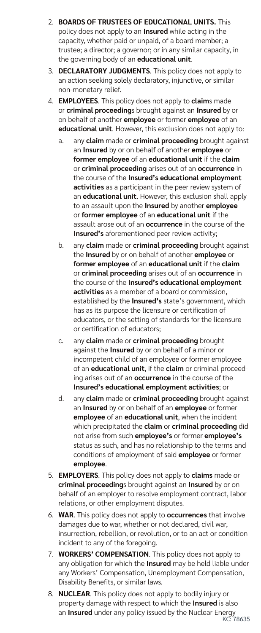- 2. **BOARDS OF TRUSTEES OF EDUCATIONAL UNITS.** This policy does not apply to an **Insured** while acting in the capacity, whether paid or unpaid, of a board member; a trustee; a director; a governor; or in any similar capacity, in the governing body of an **educational unit**.
- 3. **DECLARATORY JUDGMENTS**. This policy does not apply to an action seeking solely declaratory, injunctive, or similar non-monetary relief.
- 4. **EMPLOYEES**. This policy does not apply to **claim**s made or **criminal proceeding**s brought against an **Insured** by or on behalf of another **employee** or former **employee** of an **educational unit**. However, this exclusion does not apply to:
	- a. any **claim** made or **criminal proceeding** brought against an **Insured** by or on behalf of another **employee** or **former employee** of an **educational unit** if the **claim** or **criminal proceeding** arises out of an **occurrence** in the course of the **Insured's educational employment activities** as a participant in the peer review system of an **educational unit**. However, this exclusion shall apply to an assault upon the **Insured** by another **employee** or **former employee** of an **educational unit** if the assault arose out of an **occurrence** in the course of the **Insured's** aforementioned peer review activity;
	- b. any **claim** made or **criminal proceeding** brought against the **Insured** by or on behalf of another **employee** or **former employee** of an **educational unit** if the **claim** or **criminal proceeding** arises out of an **occurrence** in the course of the **Insured's educational employment activities** as a member of a board or commission, established by the **Insured's** state's government, which has as its purpose the licensure or certification of educators, or the setting of standards for the licensure or certification of educators;
	- c. any **claim** made or **criminal proceeding** brought against the **Insured** by or on behalf of a minor or incompetent child of an employee or former employee of an **educational unit**, if the **claim** or criminal proceeding arises out of an **occurrence** in the course of the **Insured's educational employment activities**; or
	- d. any **claim** made or **criminal proceeding** brought against an **Insured** by or on behalf of an **employee** or former **employee** of an **educational unit**, when the incident which precipitated the **claim** or **criminal proceeding** did not arise from such **employee's** or former **employee's** status as such, and has no relationship to the terms and conditions of employment of said **employee** or former **employee**.
- 5. **EMPLOYERS**. This policy does not apply to **claims** made or **criminal proceeding**s brought against an **Insured** by or on behalf of an employer to resolve employment contract, labor relations, or other employment disputes.
- 6. **WAR**. This policy does not apply to **occurrences** that involve damages due to war, whether or not declared, civil war, insurrection, rebellion, or revolution, or to an act or condition incident to any of the foregoing.
- 7. **WORKERS' COMPENSATION**. This policy does not apply to any obligation for which the **Insured** may be held liable under any Workers' Compensation, Unemployment Compensation, Disability Benefits, or similar laws.
- an **Insured** under any policy issued by the Nuclear Energy<br>KC: 78635 8. **NUCLEAR**. This policy does not apply to bodily injury or property damage with respect to which the **Insured** is also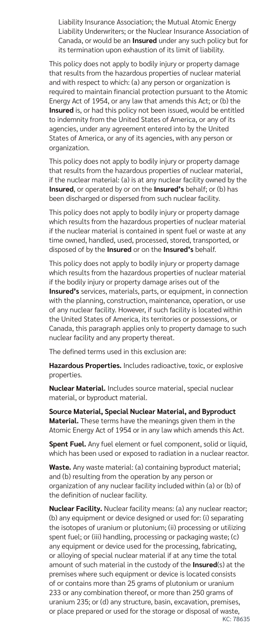Liability Insurance Association; the Mutual Atomic Energy Liability Underwriters; or the Nuclear Insurance Association of Canada, or would be an **Insured** under any such policy but for its termination upon exhaustion of its limit of liability.

This policy does not apply to bodily injury or property damage that results from the hazardous properties of nuclear material and with respect to which: (a) any person or organization is required to maintain financial protection pursuant to the Atomic Energy Act of 1954, or any law that amends this Act; or (b) the **Insured** is, or had this policy not been issued, would be entitled to indemnity from the United States of America, or any of its agencies, under any agreement entered into by the United States of America, or any of its agencies, with any person or organization.

This policy does not apply to bodily injury or property damage that results from the hazardous properties of nuclear material, if the nuclear material: (a) is at any nuclear facility owned by the **Insured**, or operated by or on the **Insured's** behalf; or (b) has been discharged or dispersed from such nuclear facility.

This policy does not apply to bodily injury or property damage which results from the hazardous properties of nuclear material if the nuclear material is contained in spent fuel or waste at any time owned, handled, used, processed, stored, transported, or disposed of by the **Insured** or on the **Insured's** behalf.

This policy does not apply to bodily injury or property damage which results from the hazardous properties of nuclear material if the bodily injury or property damage arises out of the **Insured's** services, materials, parts, or equipment, in connection with the planning, construction, maintenance, operation, or use of any nuclear facility. However, if such facility is located within the United States of America, its territories or possessions, or Canada, this paragraph applies only to property damage to such nuclear facility and any property thereat.

The defined terms used in this exclusion are:

**Hazardous Properties.** Includes radioactive, toxic, or explosive properties.

**Nuclear Material.** Includes source material, special nuclear material, or byproduct material.

**Source Material, Special Nuclear Material, and Byproduct Material.** These terms have the meanings given them in the Atomic Energy Act of 1954 or in any law which amends this Act.

**Spent Fuel.** Any fuel element or fuel component, solid or liquid, which has been used or exposed to radiation in a nuclear reactor.

**Waste.** Any waste material: (a) containing byproduct material; and (b) resulting from the operation by any person or organization of any nuclear facility included within (a) or (b) of the definition of nuclear facility.

**Nuclear Facility.** Nuclear facility means: (a) any nuclear reactor; (b) any equipment or device designed or used for: (i) separating the isotopes of uranium or plutonium; (ii) processing or utilizing spent fuel; or (iii) handling, processing or packaging waste; (c) any equipment or device used for the processing, fabricating, or alloying of special nuclear material if at any time the total amount of such material in the custody of the **Insured**(s) at the premises where such equipment or device is located consists of or contains more than 25 grams of plutonium or uranium 233 or any combination thereof, or more than 250 grams of uranium 235; or (d) any structure, basin, excavation, premises, or place prepared or used for the storage or disposal of waste,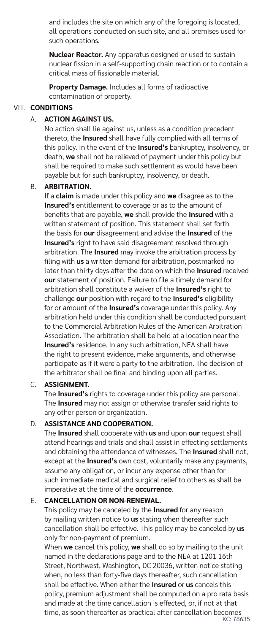and includes the site on which any of the foregoing is located, all operations conducted on such site, and all premises used for such operations.

**Nuclear Reactor.** Any apparatus designed or used to sustain nuclear fission in a self-supporting chain reaction or to contain a critical mass of fissionable material.

**Property Damage.** Includes all forms of radioactive contamination of property.

### VIII. **CONDITIONS**

### A. **ACTION AGAINST US.**

No action shall lie against us, unless as a condition precedent thereto, the **Insured** shall have fully complied with all terms of this policy. In the event of the **Insured's** bankruptcy, insolvency, or death, **we** shall not be relieved of payment under this policy but shall be required to make such settlement as would have been payable but for such bankruptcy, insolvency, or death.

#### B. **ARBITRATION.**

If a **claim** is made under this policy and **we** disagree as to the **Insured's** entitlement to coverage or as to the amount of benefits that are payable, **we** shall provide the **Insured** with a written statement of position. This statement shall set forth the basis for **our** disagreement and advise the **Insured** of the **Insured's** right to have said disagreement resolved through arbitration. The **Insured** may invoke the arbitration process by filing with **us** a written demand for arbitration, postmarked no later than thirty days after the date on which the **Insured** received **our** statement of position. Failure to file a timely demand for arbitration shall constitute a waiver of the **Insured's** right to challenge **our** position with regard to the **Insured's** eligibility for or amount of the **Insured's** coverage under this policy. Any arbitration held under this condition shall be conducted pursuant to the Commercial Arbitration Rules of the American Arbitration Association. The arbitration shall be held at a location near the **Insured's** residence. In any such arbitration, NEA shall have the right to present evidence, make arguments, and otherwise participate as if it were a party to the arbitration. The decision of the arbitrator shall be final and binding upon all parties.

### C. **ASSIGNMENT.**

The **Insured's** rights to coverage under this policy are personal. The **Insured** may not assign or otherwise transfer said rights to any other person or organization.

### D. **ASSISTANCE AND COOPERATION.**

The **Insured** shall cooperate with **us** and upon **our** request shall attend hearings and trials and shall assist in effecting settlements and obtaining the attendance of witnesses. The **Insured** shall not, except at the **Insured's** own cost, voluntarily make any payments, assume any obligation, or incur any expense other than for such immediate medical and surgical relief to others as shall be imperative at the time of the **occurrence**.

#### E. **CANCELLATION OR NON-RENEWAL.**

This policy may be canceled by the **Insured** for any reason by mailing written notice to **us** stating when thereafter such cancellation shall be effective. This policy may be canceled by **us**  only for non-payment of premium.

When **we** cancel this policy, **we** shall do so by mailing to the unit named in the declarations page and to the NEA at 1201 16th Street, Northwest, Washington, DC 20036, written notice stating when, no less than forty-five days thereafter, such cancellation shall be effective. When either the **Insured** or **us** cancels this policy, premium adjustment shall be computed on a pro rata basis and made at the time cancellation is effected, or, if not at that time, as soon thereafter as practical after cancellation becomes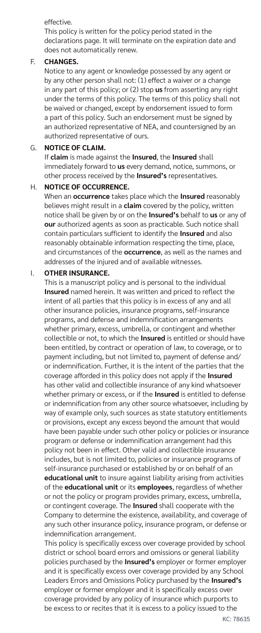#### effective.

This policy is written for the policy period stated in the declarations page. It will terminate on the expiration date and does not automatically renew.

#### F. **CHANGES.**

Notice to any agent or knowledge possessed by any agent or by any other person shall not: (1) effect a waiver or a change in any part of this policy; or (2) stop **us** from asserting any right under the terms of this policy. The terms of this policy shall not be waived or changed, except by endorsement issued to form a part of this policy. Such an endorsement must be signed by an authorized representative of NEA, and countersigned by an authorized representative of ours.

#### G. **NOTICE OF CLAIM.**

If **claim** is made against the **Insured**, the **Insured** shall immediately forward to **us** every demand, notice, summons, or other process received by the **Insured's** representatives.

#### H. **NOTICE OF OCCURRENCE.**

When an **occurrence** takes place which the **Insured** reasonably believes might result in a **claim** covered by the policy, written notice shall be given by or on the **Insured's** behalf to **us** or any of **our** authorized agents as soon as practicable. Such notice shall contain particulars sufficient to identify the **Insured** and also reasonably obtainable information respecting the time, place, and circumstances of the **occurrence**, as well as the names and addresses of the injured and of available witnesses.

#### I. **OTHER INSURANCE.**

This is a manuscript policy and is personal to the individual **Insured** named herein. It was written and priced to reflect the intent of all parties that this policy is in excess of any and all other insurance policies, insurance programs, self-insurance programs, and defense and indemnification arrangements whether primary, excess, umbrella, or contingent and whether collectible or not, to which the **Insured** is entitled or should have been entitled, by contract or operation of law, to coverage, or to payment including, but not limited to, payment of defense and/ or indemnification. Further, it is the intent of the parties that the coverage afforded in this policy does not apply if the **Insured** has other valid and collectible insurance of any kind whatsoever whether primary or excess, or if the **Insured** is entitled to defense or indemnification from any other source whatsoever, including by way of example only, such sources as state statutory entitlements or provisions, except any excess beyond the amount that would have been payable under such other policy or policies or insurance program or defense or indemnification arrangement had this policy not been in effect. Other valid and collectible insurance includes, but is not limited to, policies or insurance programs of self-insurance purchased or established by or on behalf of an **educational unit** to insure against liability arising from activities of the **educational unit** or its **employees**, regardless of whether or not the policy or program provides primary, excess, umbrella, or contingent coverage. The **Insured** shall cooperate with the Company to determine the existence, availability, and coverage of any such other insurance policy, insurance program, or defense or indemnification arrangement.

This policy is specifically excess over coverage provided by school district or school board errors and omissions or general liability policies purchased by the **Insured's** employer or former employer and it is specifically excess over coverage provided by any School Leaders Errors and Omissions Policy purchased by the **Insured's** employer or former employer and it is specifically excess over coverage provided by any policy of insurance which purports to be excess to or recites that it is excess to a policy issued to the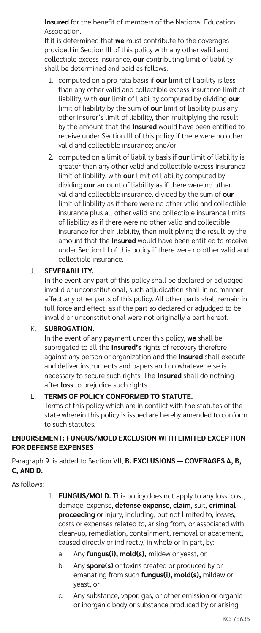**Insured** for the benefit of members of the National Education Association.

If it is determined that **we** must contribute to the coverages provided in Section III of this policy with any other valid and collectible excess insurance, **our** contributing limit of liability shall be determined and paid as follows:

- 1. computed on a pro rata basis if **our** limit of liability is less than any other valid and collectible excess insurance limit of liability, with **our** limit of liability computed by dividing **our**  limit of liability by the sum of **our** limit of liability plus any other insurer's limit of liability, then multiplying the result by the amount that the **Insured** would have been entitled to receive under Section III of this policy if there were no other valid and collectible insurance; and/or
- 2. computed on a limit of liability basis if **our** limit of liability is greater than any other valid and collectible excess insurance limit of liability, with **our** limit of liability computed by dividing **our** amount of liability as if there were no other valid and collectible insurance, divided by the sum of **our**  limit of liability as if there were no other valid and collectible insurance plus all other valid and collectible insurance limits of liability as if there were no other valid and collectible insurance for their liability, then multiplying the result by the amount that the **Insured** would have been entitled to receive under Section III of this policy if there were no other valid and collectible insurance.

#### J. **SEVERABILITY.**

In the event any part of this policy shall be declared or adjudged invalid or unconstitutional, such adjudication shall in no manner affect any other parts of this policy. All other parts shall remain in full force and effect, as if the part so declared or adjudged to be invalid or unconstitutional were not originally a part hereof.

#### K. **SUBROGATION.**

In the event of any payment under this policy, **we** shall be subrogated to all the **Insured's** rights of recovery therefore against any person or organization and the **Insured** shall execute and deliver instruments and papers and do whatever else is necessary to secure such rights. The **Insured** shall do nothing after **loss** to prejudice such rights.

### L. **TERMS OF POLICY CONFORMED TO STATUTE.**

Terms of this policy which are in conflict with the statutes of the state wherein this policy is issued are hereby amended to conform to such statutes.

#### **ENDORSEMENT: FUNGUS/MOLD EXCLUSION WITH LIMITED EXCEPTION FOR DEFENSE EXPENSES**

Paragraph 9. is added to Section VII, **B. EXCLUSIONS — COVERAGES A, B, C, AND D.**

As follows:

- 1. **FUNGUS/MOLD.** This policy does not apply to any loss, cost, damage, expense, **defense expense**, **claim**, suit, **criminal proceeding** or injury, including, but not limited to, losses, costs or expenses related to, arising from, or associated with clean-up, remediation, containment, removal or abatement, caused directly or indirectly, in whole or in part, by:
	- a. Any **fungus(i), mold(s),** mildew or yeast, or
	- b. Any **spore(s)** or toxins created or produced by or emanating from such **fungus(i), mold(s),** mildew or yeast, or
	- c. Any substance, vapor, gas, or other emission or organic or inorganic body or substance produced by or arising